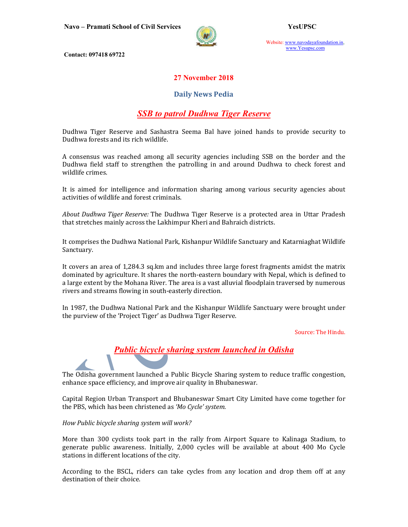

Website: www.navodayafoundation.in, www.Yesupsc.com

Contact: 097418 69722

### 27 November 2018

#### Daily News Pedia

## SSB to patrol Dudhwa Tiger Reserve

Dudhwa Tiger Reserve and Sashastra Seema Bal have joined hands to provide security to Dudhwa forests and its rich wildlife.

A consensus was reached among all security agencies including SSB on the border and the Dudhwa field staff to strengthen the patrolling in and around Dudhwa to check forest and wildlife crimes.

It is aimed for intelligence and information sharing among various security agencies about activities of wildlife and forest criminals.

About Dudhwa Tiger Reserve: The Dudhwa Tiger Reserve is a protected area in Uttar Pradesh that stretches mainly across the Lakhimpur Kheri and Bahraich districts.

It comprises the Dudhwa National Park, Kishanpur Wildlife Sanctuary and Katarniaghat Wildlife Sanctuary.

It covers an area of 1,284.3 sq.km and includes three large forest fragments amidst the matrix dominated by agriculture. It shares the north-eastern boundary with Nepal, which is defined to a large extent by the Mohana River. The area is a vast alluvial floodplain traversed by numerous rivers and streams flowing in south-easterly direction.

In 1987, the Dudhwa National Park and the Kishanpur Wildlife Sanctuary were brought under the purview of the 'Project Tiger' as Dudhwa Tiger Reserve.

Source: The Hindu.



The Odisha government launched a Public Bicycle Sharing system to reduce traffic congestion, enhance space efficiency, and improve air quality in Bhubaneswar.

Capital Region Urban Transport and Bhubaneswar Smart City Limited have come together for the PBS, which has been christened as 'Mo Cycle' system.

#### How Public bicycle sharing system will work?

More than 300 cyclists took part in the rally from Airport Square to Kalinaga Stadium, to generate public awareness. Initially, 2,000 cycles will be available at about 400 Mo Cycle stations in different locations of the city.

According to the BSCL, riders can take cycles from any location and drop them off at any destination of their choice.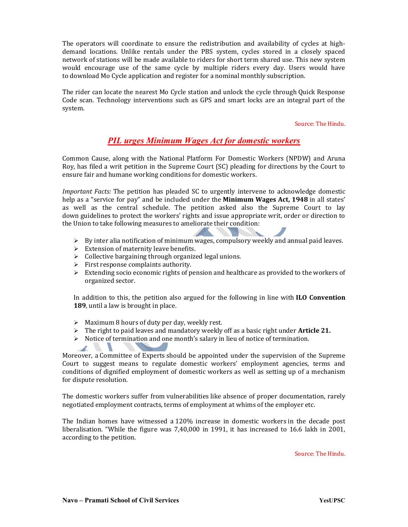The operators will coordinate to ensure the redistribution and availability of cycles at highdemand locations. Unlike rentals under the PBS system, cycles stored in a closely spaced network of stations will be made available to riders for short term shared use. This new system would encourage use of the same cycle by multiple riders every day. Users would have to download Mo Cycle application and register for a nominal monthly subscription.

The rider can locate the nearest Mo Cycle station and unlock the cycle through Quick Response Code scan. Technology interventions such as GPS and smart locks are an integral part of the system.

Source: The Hindu.

## PIL urges Minimum Wages Act for domestic workers

Common Cause, along with the National Platform For Domestic Workers (NPDW) and Aruna Roy, has filed a writ petition in the Supreme Court (SC) pleading for directions by the Court to ensure fair and humane working conditions for domestic workers.

Important Facts: The petition has pleaded SC to urgently intervene to acknowledge domestic help as a "service for pay" and be included under the **Minimum Wages Act, 1948** in all states' as well as the central schedule. The petition asked also the Supreme Court to lay down guidelines to protect the workers' rights and issue appropriate writ, order or direction to the Union to take following measures to ameliorate their condition:

- $\triangleright$  By inter alia notification of minimum wages, compulsory weekly and annual paid leaves.
- $\triangleright$  Extension of maternity leave benefits.
- $\triangleright$  Collective bargaining through organized legal unions.
- $\triangleright$  First response complaints authority.

 $\mathcal{L}$ 

 $\triangleright$  Extending socio economic rights of pension and healthcare as provided to the workers of organized sector.

In addition to this, the petition also argued for the following in line with ILO Convention 189, until a law is brought in place.

- $\triangleright$  Maximum 8 hours of duty per day, weekly rest.
- $\triangleright$  The right to paid leaves and mandatory weekly off as a basic right under **Article 21.**
- $\triangleright$  Notice of termination and one month's salary in lieu of notice of termination.

Moreover, a Committee of Experts should be appointed under the supervision of the Supreme Court to suggest means to regulate domestic workers' employment agencies, terms and conditions of dignified employment of domestic workers as well as setting up of a mechanism for dispute resolution.

The domestic workers suffer from vulnerabilities like absence of proper documentation, rarely negotiated employment contracts, terms of employment at whims of the employer etc.

The Indian homes have witnessed a 120% increase in domestic workers in the decade post liberalisation. "While the figure was 7,40,000 in 1991, it has increased to 16.6 lakh in 2001, according to the petition.

Source: The Hindu.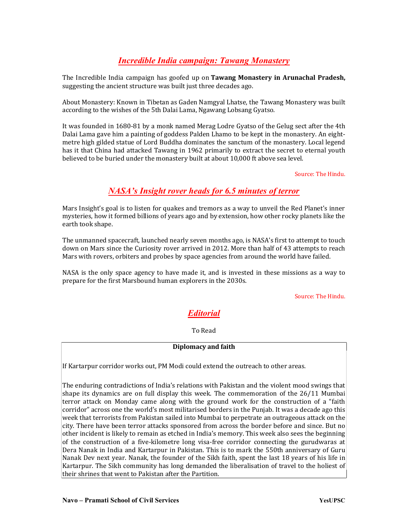## **Incredible India campaign: Tawang Monastery**

The Incredible India campaign has goofed up on Tawang Monastery in Arunachal Pradesh, suggesting the ancient structure was built just three decades ago.

About Monastery: Known in Tibetan as Gaden Namgyal Lhatse, the Tawang Monastery was built according to the wishes of the 5th Dalai Lama, Ngawang Lobsang Gyatso.

It was founded in 1680-81 by a monk named Merag Lodre Gyatso of the Gelug sect after the 4th Dalai Lama gave him a painting of goddess Palden Lhamo to be kept in the monastery. An eightmetre high gilded statue of Lord Buddha dominates the sanctum of the monastery. Local legend has it that China had attacked Tawang in 1962 primarily to extract the secret to eternal youth believed to be buried under the monastery built at about 10,000 ft above sea level.

Source: The Hindu.

## NASA's Insight rover heads for 6.5 minutes of terror

Mars Insight's goal is to listen for quakes and tremors as a way to unveil the Red Planet's inner mysteries, how it formed billions of years ago and by extension, how other rocky planets like the earth took shape.

The unmanned spacecraft, launched nearly seven months ago, is NASA's first to attempt to touch down on Mars since the Curiosity rover arrived in 2012. More than half of 43 attempts to reach Mars with rovers, orbiters and probes by space agencies from around the world have failed.

NASA is the only space agency to have made it, and is invested in these missions as a way to prepare for the first Marsbound human explorers in the 2030s.

Source: The Hindu.

# Editorial

To Read

#### Diplomacy and faith

If Kartarpur corridor works out, PM Modi could extend the outreach to other areas.

The enduring contradictions of India's relations with Pakistan and the violent mood swings that shape its dynamics are on full display this week. The commemoration of the 26/11 Mumbai terror attack on Monday came along with the ground work for the construction of a "faith corridor" across one the world's most militarised borders in the Punjab. It was a decade ago this week that terrorists from Pakistan sailed into Mumbai to perpetrate an outrageous attack on the city. There have been terror attacks sponsored from across the border before and since. But no other incident is likely to remain as etched in India's memory. This week also sees the beginning of the construction of a five-kilometre long visa-free corridor connecting the gurudwaras at Dera Nanak in India and Kartarpur in Pakistan. This is to mark the 550th anniversary of Guru Nanak Dev next year. Nanak, the founder of the Sikh faith, spent the last 18 years of his life in Kartarpur. The Sikh community has long demanded the liberalisation of travel to the holiest of their shrines that went to Pakistan after the Partition.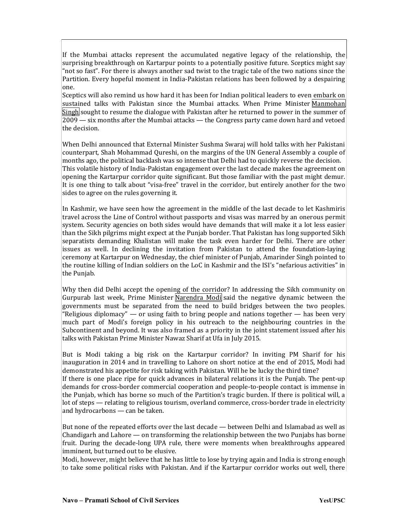If the Mumbai attacks represent the accumulated negative legacy of the relationship, the surprising breakthrough on Kartarpur points to a potentially positive future. Sceptics might say "not so fast". For there is always another sad twist to the tragic tale of the two nations since the Partition. Every hopeful moment in India-Pakistan relations has been followed by a despairing one.

Sceptics will also remind us how hard it has been for Indian political leaders to even embark on sustained talks with Pakistan since the Mumbai attacks. When Prime Minister Manmohan  $\sin$ gh sought to resume the dialogue with Pakistan after he returned to power in the summer of  $\overline{2009}$  — six months after the Mumbai attacks — the Congress party came down hard and vetoed the decision.

When Delhi announced that External Minister Sushma Swaraj will hold talks with her Pakistani counterpart, Shah Mohammad Qureshi, on the margins of the UN General Assembly a couple of months ago, the political backlash was so intense that Delhi had to quickly reverse the decision. This volatile history of India-Pakistan engagement over the last decade makes the agreement on opening the Kartarpur corridor quite significant. But those familiar with the past might demur. It is one thing to talk about "visa-free" travel in the corridor, but entirely another for the two sides to agree on the rules governing it.

In Kashmir, we have seen how the agreement in the middle of the last decade to let Kashmiris travel across the Line of Control without passports and visas was marred by an onerous permit system. Security agencies on both sides would have demands that will make it a lot less easier than the Sikh pilgrims might expect at the Punjab border. That Pakistan has long supported Sikh separatists demanding Khalistan will make the task even harder for Delhi. There are other issues as well. In declining the invitation from Pakistan to attend the foundation-laying ceremony at Kartarpur on Wednesday, the chief minister of Punjab, Amarinder Singh pointed to the routine killing of Indian soldiers on the LoC in Kashmir and the ISI's "nefarious activities" in the Punjab.

Why then did Delhi accept the opening of the corridor? In addressing the Sikh community on Gurpurab last week, Prime Minister Narendra Modi said the negative dynamic between the governments must be separated from the need to build bridges between the two peoples. "Religious diplomacy" — or using faith to bring people and nations together — has been very much part of Modi's foreign policy in his outreach to the neighbouring countries in the Subcontinent and beyond. It was also framed as a priority in the joint statement issued after his talks with Pakistan Prime Minister Nawaz Sharif at Ufa in July 2015.

But is Modi taking a big risk on the Kartarpur corridor? In inviting PM Sharif for his inauguration in 2014 and in travelling to Lahore on short notice at the end of 2015, Modi had demonstrated his appetite for risk taking with Pakistan. Will he be lucky the third time? If there is one place ripe for quick advances in bilateral relations it is the Punjab. The pent-up demands for cross-border commercial cooperation and people-to-people contact is immense in the Punjab, which has borne so much of the Partition's tragic burden. If there is political will, a lot of steps — relating to religious tourism, overland commerce, cross-border trade in electricity and hydrocarbons — can be taken.

But none of the repeated efforts over the last decade — between Delhi and Islamabad as well as Chandigarh and Lahore — on transforming the relationship between the two Punjabs has borne fruit. During the decade-long UPA rule, there were moments when breakthroughs appeared imminent, but turned out to be elusive.

Modi, however, might believe that he has little to lose by trying again and India is strong enough to take some political risks with Pakistan. And if the Kartarpur corridor works out well, there